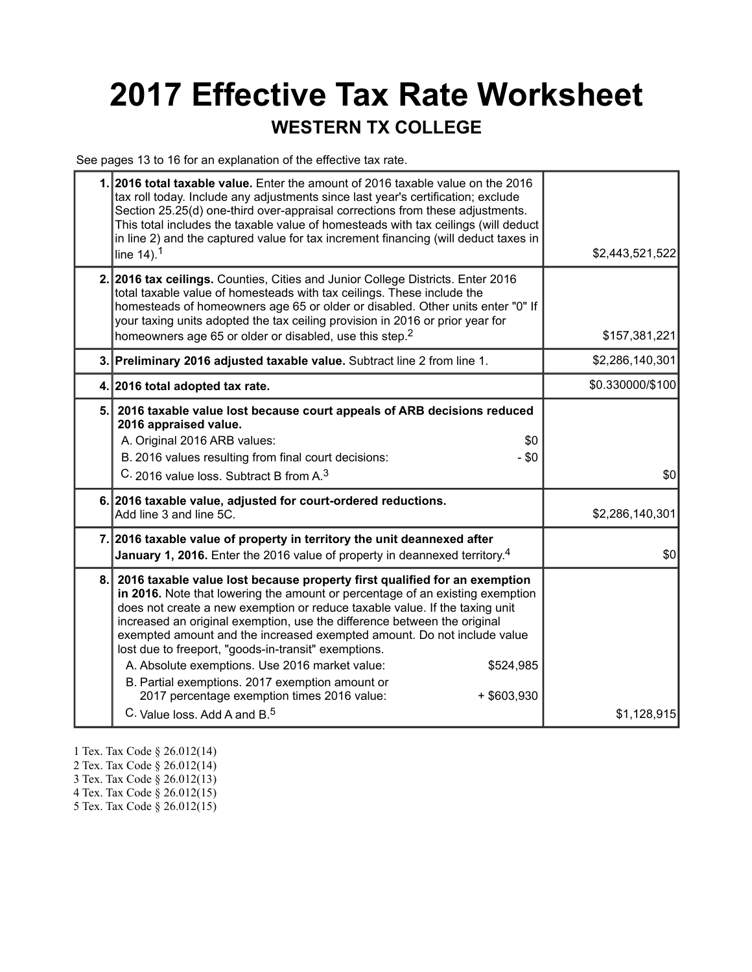## **2017 Effective Tax Rate Worksheet WESTERN TX COLLEGE**

See pages 13 to 16 for an explanation of the effective tax rate.

|    | 1. 2016 total taxable value. Enter the amount of 2016 taxable value on the 2016<br>tax roll today. Include any adjustments since last year's certification; exclude<br>Section 25.25(d) one-third over-appraisal corrections from these adjustments.<br>This total includes the taxable value of homesteads with tax ceilings (will deduct<br>in line 2) and the captured value for tax increment financing (will deduct taxes in<br>line $14$ ). <sup>1</sup>                                                                                                                                                                                                                         | \$2,443,521,522  |
|----|----------------------------------------------------------------------------------------------------------------------------------------------------------------------------------------------------------------------------------------------------------------------------------------------------------------------------------------------------------------------------------------------------------------------------------------------------------------------------------------------------------------------------------------------------------------------------------------------------------------------------------------------------------------------------------------|------------------|
|    | 2. 2016 tax ceilings. Counties, Cities and Junior College Districts. Enter 2016<br>total taxable value of homesteads with tax ceilings. These include the<br>homesteads of homeowners age 65 or older or disabled. Other units enter "0" If<br>your taxing units adopted the tax ceiling provision in 2016 or prior year for<br>homeowners age 65 or older or disabled, use this step. <sup>2</sup>                                                                                                                                                                                                                                                                                    | \$157,381,221    |
|    | 3. Preliminary 2016 adjusted taxable value. Subtract line 2 from line 1.                                                                                                                                                                                                                                                                                                                                                                                                                                                                                                                                                                                                               | \$2,286,140,301  |
|    | 4. 2016 total adopted tax rate.                                                                                                                                                                                                                                                                                                                                                                                                                                                                                                                                                                                                                                                        | \$0.330000/\$100 |
| 5. | 2016 taxable value lost because court appeals of ARB decisions reduced<br>2016 appraised value.<br>A. Original 2016 ARB values:<br>\$0<br>B. 2016 values resulting from final court decisions:<br>$-$ \$0<br>C. 2016 value loss. Subtract B from A. <sup>3</sup>                                                                                                                                                                                                                                                                                                                                                                                                                       | \$0              |
|    | 6. 2016 taxable value, adjusted for court-ordered reductions.<br>Add line 3 and line 5C.                                                                                                                                                                                                                                                                                                                                                                                                                                                                                                                                                                                               | \$2,286,140,301  |
|    | 7. 2016 taxable value of property in territory the unit deannexed after<br><b>January 1, 2016.</b> Enter the 2016 value of property in deannexed territory. <sup>4</sup>                                                                                                                                                                                                                                                                                                                                                                                                                                                                                                               | \$0              |
| 8. | 2016 taxable value lost because property first qualified for an exemption<br>in 2016. Note that lowering the amount or percentage of an existing exemption<br>does not create a new exemption or reduce taxable value. If the taxing unit<br>increased an original exemption, use the difference between the original<br>exempted amount and the increased exempted amount. Do not include value<br>lost due to freeport, "goods-in-transit" exemptions.<br>A. Absolute exemptions. Use 2016 market value:<br>\$524,985<br>B. Partial exemptions. 2017 exemption amount or<br>2017 percentage exemption times 2016 value:<br>$+$ \$603,930<br>C. Value loss. Add A and B. <sup>5</sup> | \$1,128,915      |

- 1 Tex. Tax Code § 26.012(14)
- 2 Tex. Tax Code § 26.012(14)
- 3 Tex. Tax Code § 26.012(13)
- 4 Tex. Tax Code § 26.012(15)
- 5 Tex. Tax Code § 26.012(15)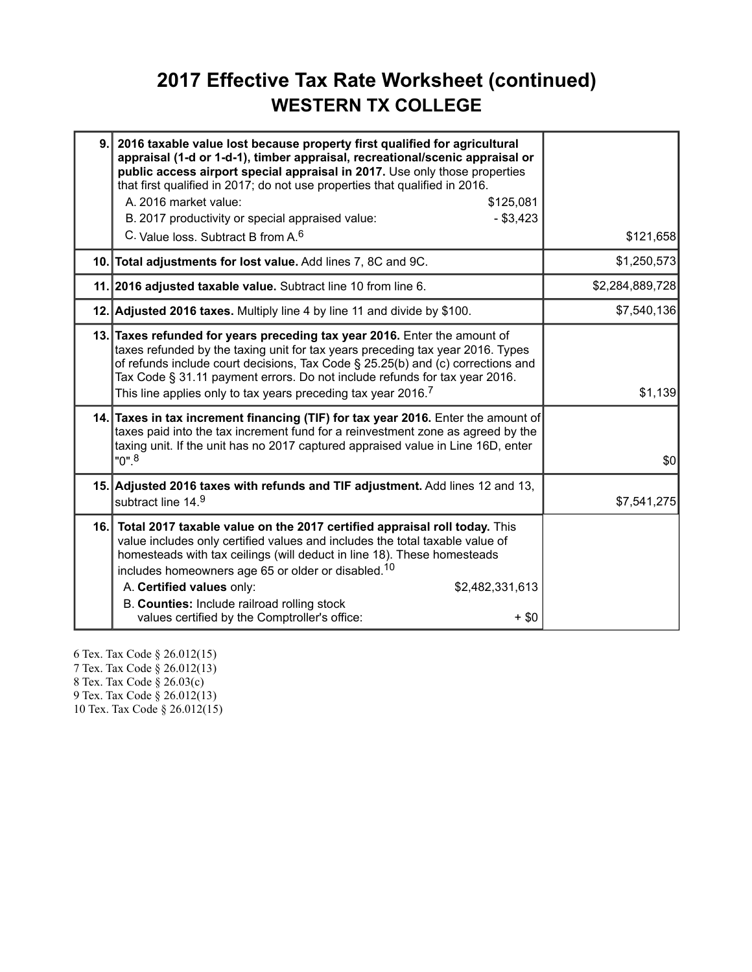### **2017 Effective Tax Rate Worksheet (continued) WESTERN TX COLLEGE**

| 9.1 | 2016 taxable value lost because property first qualified for agricultural<br>appraisal (1-d or 1-d-1), timber appraisal, recreational/scenic appraisal or<br>public access airport special appraisal in 2017. Use only those properties<br>that first qualified in 2017; do not use properties that qualified in 2016.<br>A. 2016 market value:<br>\$125,081<br>$-$ \$3,423<br>B. 2017 productivity or special appraised value:<br>C. Value loss, Subtract B from A. <sup>6</sup> | \$121,658       |
|-----|-----------------------------------------------------------------------------------------------------------------------------------------------------------------------------------------------------------------------------------------------------------------------------------------------------------------------------------------------------------------------------------------------------------------------------------------------------------------------------------|-----------------|
|     | 10. Total adjustments for lost value. Add lines 7, 8C and 9C.                                                                                                                                                                                                                                                                                                                                                                                                                     | \$1,250,573     |
|     | 11. 2016 adjusted taxable value. Subtract line 10 from line 6.                                                                                                                                                                                                                                                                                                                                                                                                                    | \$2,284,889,728 |
|     | 12. Adjusted 2016 taxes. Multiply line 4 by line 11 and divide by \$100.                                                                                                                                                                                                                                                                                                                                                                                                          | \$7,540,136     |
|     | 13. Taxes refunded for years preceding tax year 2016. Enter the amount of<br>taxes refunded by the taxing unit for tax years preceding tax year 2016. Types<br>of refunds include court decisions, Tax Code § 25.25(b) and (c) corrections and<br>Tax Code § 31.11 payment errors. Do not include refunds for tax year 2016.<br>This line applies only to tax years preceding tax year 2016. <sup>7</sup>                                                                         | \$1,139         |
|     | 14. Taxes in tax increment financing (TIF) for tax year 2016. Enter the amount of<br>taxes paid into the tax increment fund for a reinvestment zone as agreed by the<br>taxing unit. If the unit has no 2017 captured appraised value in Line 16D, enter<br>$"0"$ . <sup>8</sup>                                                                                                                                                                                                  | \$0             |
|     | 15. Adjusted 2016 taxes with refunds and TIF adjustment. Add lines 12 and 13,<br>subtract line 14.9                                                                                                                                                                                                                                                                                                                                                                               | \$7,541,275     |
|     | 16. Total 2017 taxable value on the 2017 certified appraisal roll today. This<br>value includes only certified values and includes the total taxable value of<br>homesteads with tax ceilings (will deduct in line 18). These homesteads<br>includes homeowners age 65 or older or disabled. <sup>10</sup><br>A. Certified values only:<br>\$2,482,331,613<br>B. Counties: Include railroad rolling stock<br>values certified by the Comptroller's office:<br>$+$ \$0             |                 |

6 Tex. Tax Code § 26.012(15) 7 Tex. Tax Code § 26.012(13) 8 Tex. Tax Code § 26.03(c) 9 Tex. Tax Code § 26.012(13) 10 Tex. Tax Code § 26.012(15)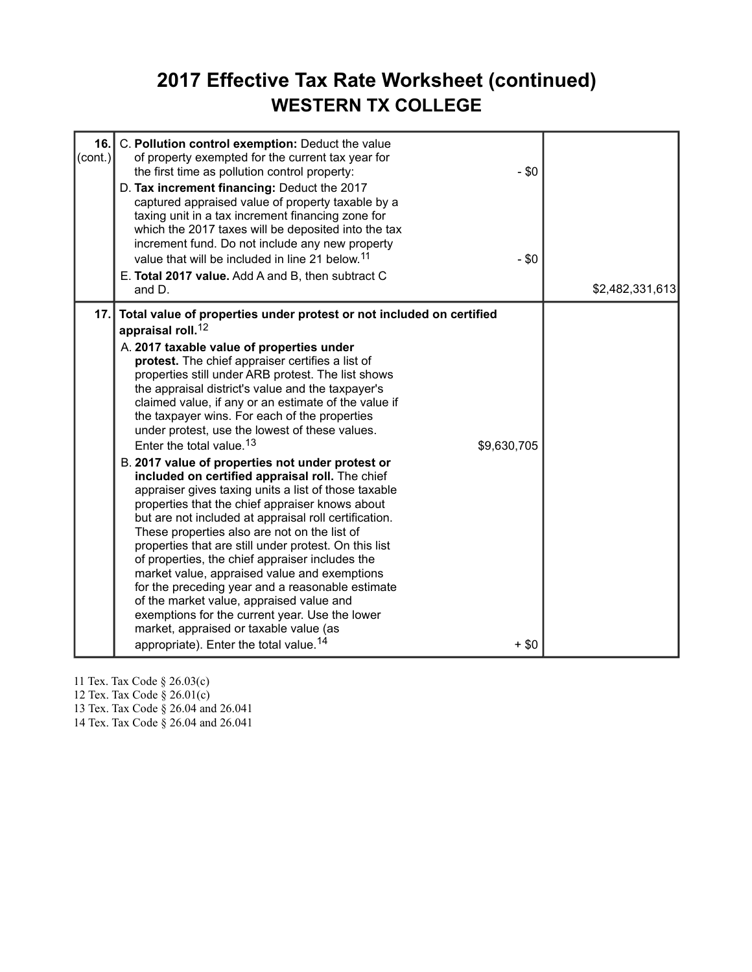### **2017 Effective Tax Rate Worksheet (continued) WESTERN TX COLLEGE**

| 16.<br>$\text{(cont.)}$ | C. Pollution control exemption: Deduct the value<br>of property exempted for the current tax year for<br>the first time as pollution control property:<br>D. Tax increment financing: Deduct the 2017<br>captured appraised value of property taxable by a<br>taxing unit in a tax increment financing zone for<br>which the 2017 taxes will be deposited into the tax<br>increment fund. Do not include any new property<br>value that will be included in line 21 below. <sup>11</sup><br>E. Total 2017 value. Add A and B, then subtract C<br>and D.                                                                                                                                                                                                                                                                                                                                                                                                                                                                                                                                                                                                                                                                                                       | $-$ \$0<br>$- $0$      | \$2,482,331,613 |
|-------------------------|---------------------------------------------------------------------------------------------------------------------------------------------------------------------------------------------------------------------------------------------------------------------------------------------------------------------------------------------------------------------------------------------------------------------------------------------------------------------------------------------------------------------------------------------------------------------------------------------------------------------------------------------------------------------------------------------------------------------------------------------------------------------------------------------------------------------------------------------------------------------------------------------------------------------------------------------------------------------------------------------------------------------------------------------------------------------------------------------------------------------------------------------------------------------------------------------------------------------------------------------------------------|------------------------|-----------------|
| 17.1                    | Total value of properties under protest or not included on certified<br>appraisal roll. <sup>12</sup><br>A. 2017 taxable value of properties under<br>protest. The chief appraiser certifies a list of<br>properties still under ARB protest. The list shows<br>the appraisal district's value and the taxpayer's<br>claimed value, if any or an estimate of the value if<br>the taxpayer wins. For each of the properties<br>under protest, use the lowest of these values.<br>Enter the total value. <sup>13</sup><br>B. 2017 value of properties not under protest or<br>included on certified appraisal roll. The chief<br>appraiser gives taxing units a list of those taxable<br>properties that the chief appraiser knows about<br>but are not included at appraisal roll certification.<br>These properties also are not on the list of<br>properties that are still under protest. On this list<br>of properties, the chief appraiser includes the<br>market value, appraised value and exemptions<br>for the preceding year and a reasonable estimate<br>of the market value, appraised value and<br>exemptions for the current year. Use the lower<br>market, appraised or taxable value (as<br>appropriate). Enter the total value. <sup>14</sup> | \$9,630,705<br>$+$ \$0 |                 |

11 Tex. Tax Code § 26.03(c)

12 Tex. Tax Code § 26.01(c)

13 Tex. Tax Code § 26.04 and 26.041

14 Tex. Tax Code § 26.04 and 26.041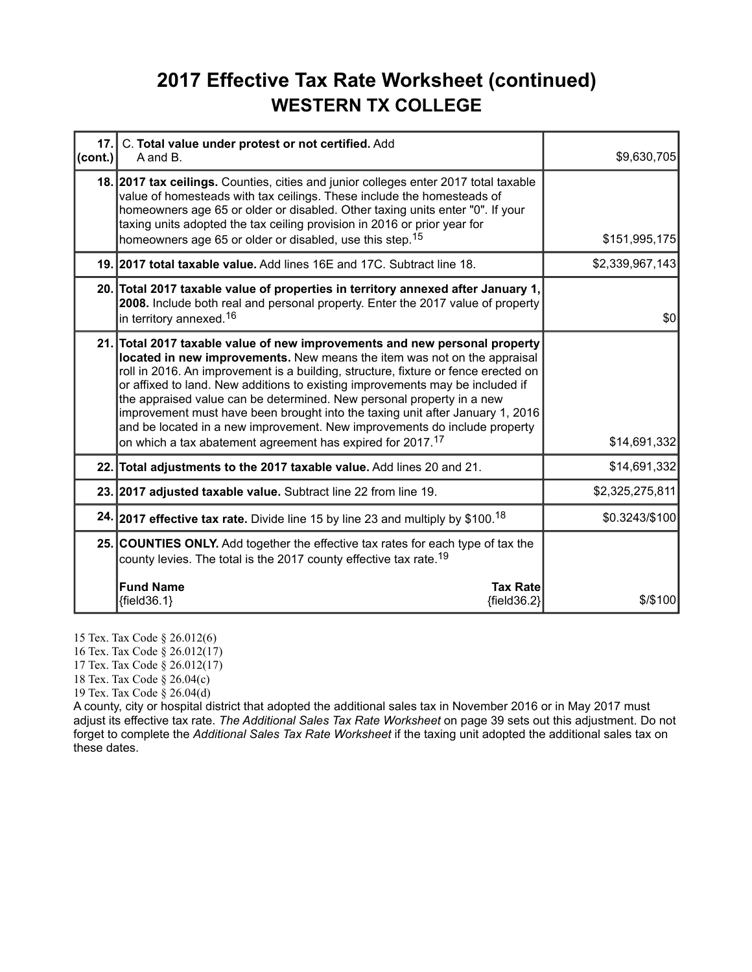### **2017 Effective Tax Rate Worksheet (continued) WESTERN TX COLLEGE**

| 17.<br>(cont.) | C. Total value under protest or not certified. Add<br>A and B.                                                                                                                                                                                                                                                                                                                                                                                                                                                                                                                                                                     | \$9,630,705     |
|----------------|------------------------------------------------------------------------------------------------------------------------------------------------------------------------------------------------------------------------------------------------------------------------------------------------------------------------------------------------------------------------------------------------------------------------------------------------------------------------------------------------------------------------------------------------------------------------------------------------------------------------------------|-----------------|
|                | 18. 2017 tax ceilings. Counties, cities and junior colleges enter 2017 total taxable<br>value of homesteads with tax ceilings. These include the homesteads of<br>homeowners age 65 or older or disabled. Other taxing units enter "0". If your<br>taxing units adopted the tax ceiling provision in 2016 or prior year for<br>homeowners age 65 or older or disabled, use this step. <sup>15</sup>                                                                                                                                                                                                                                | \$151,995,175   |
|                | 19. 2017 total taxable value. Add lines 16E and 17C. Subtract line 18.                                                                                                                                                                                                                                                                                                                                                                                                                                                                                                                                                             | \$2,339,967,143 |
|                | 20. Total 2017 taxable value of properties in territory annexed after January 1,<br>2008. Include both real and personal property. Enter the 2017 value of property<br>in territory annexed. <sup>16</sup>                                                                                                                                                                                                                                                                                                                                                                                                                         | \$0             |
|                | 21. Total 2017 taxable value of new improvements and new personal property<br>located in new improvements. New means the item was not on the appraisal<br>roll in 2016. An improvement is a building, structure, fixture or fence erected on<br>or affixed to land. New additions to existing improvements may be included if<br>the appraised value can be determined. New personal property in a new<br>improvement must have been brought into the taxing unit after January 1, 2016<br>and be located in a new improvement. New improvements do include property<br>on which a tax abatement agreement has expired for 2017.17 | \$14,691,332    |
|                | 22. Total adjustments to the 2017 taxable value. Add lines 20 and 21.                                                                                                                                                                                                                                                                                                                                                                                                                                                                                                                                                              | \$14,691,332    |
|                | 23. 2017 adjusted taxable value. Subtract line 22 from line 19.                                                                                                                                                                                                                                                                                                                                                                                                                                                                                                                                                                    | \$2,325,275,811 |
|                | 24. 2017 effective tax rate. Divide line 15 by line 23 and multiply by \$100. <sup>18</sup>                                                                                                                                                                                                                                                                                                                                                                                                                                                                                                                                        | \$0.3243/\$100  |
|                | 25. COUNTIES ONLY. Add together the effective tax rates for each type of tax the<br>county levies. The total is the 2017 county effective tax rate. <sup>19</sup>                                                                                                                                                                                                                                                                                                                                                                                                                                                                  |                 |
|                | <b>Fund Name</b><br><b>Tax Rate</b><br>${field36.1}$<br>${field36.2}$                                                                                                                                                                                                                                                                                                                                                                                                                                                                                                                                                              | $$$ /\$100      |

15 Tex. Tax Code § 26.012(6)

16 Tex. Tax Code § 26.012(17)

17 Tex. Tax Code § 26.012(17)

18 Tex. Tax Code § 26.04(c)

19 Tex. Tax Code § 26.04(d)

A county, city or hospital district that adopted the additional sales tax in November 2016 or in May 2017 must adjust its effective tax rate. *The Additional Sales Tax Rate Worksheet* on page 39 sets out this adjustment. Do not forget to complete the *Additional Sales Tax Rate Worksheet* if the taxing unit adopted the additional sales tax on these dates.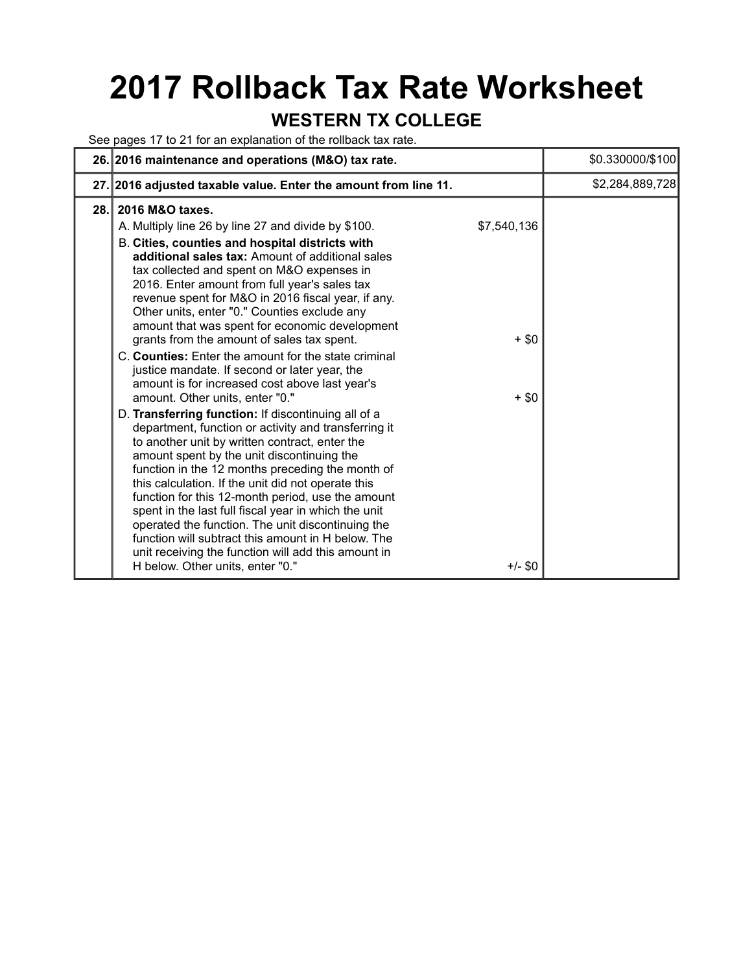# **2017 Rollback Tax Rate Worksheet**

### **WESTERN TX COLLEGE**

See pages 17 to 21 for an explanation of the rollback tax rate.

|     | 26. 2016 maintenance and operations (M&O) tax rate.                                                                                                                                                                                                                                                                                                                                                                                                                                                                                                                                                                                                                                                                                                                                                                                                                                                                                                                                                                                                                                                                    |                                   | \$0.330000/\$100 |
|-----|------------------------------------------------------------------------------------------------------------------------------------------------------------------------------------------------------------------------------------------------------------------------------------------------------------------------------------------------------------------------------------------------------------------------------------------------------------------------------------------------------------------------------------------------------------------------------------------------------------------------------------------------------------------------------------------------------------------------------------------------------------------------------------------------------------------------------------------------------------------------------------------------------------------------------------------------------------------------------------------------------------------------------------------------------------------------------------------------------------------------|-----------------------------------|------------------|
|     | 27. 2016 adjusted taxable value. Enter the amount from line 11.                                                                                                                                                                                                                                                                                                                                                                                                                                                                                                                                                                                                                                                                                                                                                                                                                                                                                                                                                                                                                                                        |                                   | \$2,284,889,728  |
| 28. | 2016 M&O taxes.<br>A. Multiply line 26 by line 27 and divide by \$100.<br>B. Cities, counties and hospital districts with<br>additional sales tax: Amount of additional sales<br>tax collected and spent on M&O expenses in<br>2016. Enter amount from full year's sales tax<br>revenue spent for M&O in 2016 fiscal year, if any.<br>Other units, enter "0." Counties exclude any<br>amount that was spent for economic development<br>grants from the amount of sales tax spent.<br>C. Counties: Enter the amount for the state criminal<br>justice mandate. If second or later year, the<br>amount is for increased cost above last year's<br>amount. Other units, enter "0."<br>D. Transferring function: If discontinuing all of a<br>department, function or activity and transferring it<br>to another unit by written contract, enter the<br>amount spent by the unit discontinuing the<br>function in the 12 months preceding the month of<br>this calculation. If the unit did not operate this<br>function for this 12-month period, use the amount<br>spent in the last full fiscal year in which the unit | \$7,540,136<br>$+$ \$0<br>$+$ \$0 |                  |
|     | operated the function. The unit discontinuing the<br>function will subtract this amount in H below. The<br>unit receiving the function will add this amount in<br>H below. Other units, enter "0."                                                                                                                                                                                                                                                                                                                                                                                                                                                                                                                                                                                                                                                                                                                                                                                                                                                                                                                     | $+/-$ \$0                         |                  |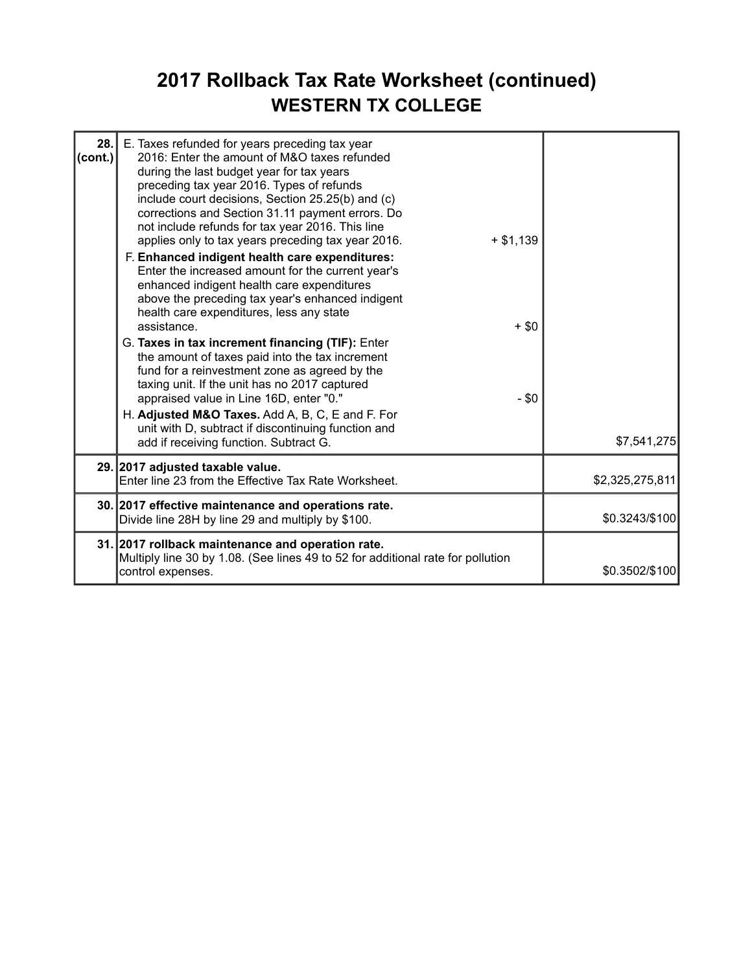### **2017 Rollback Tax Rate Worksheet (continued) WESTERN TX COLLEGE**

| 28.<br>(cont.) | E. Taxes refunded for years preceding tax year<br>2016: Enter the amount of M&O taxes refunded<br>during the last budget year for tax years<br>preceding tax year 2016. Types of refunds<br>include court decisions, Section 25.25(b) and (c)<br>corrections and Section 31.11 payment errors. Do<br>not include refunds for tax year 2016. This line<br>applies only to tax years preceding tax year 2016.<br>$+ $1,139$<br>F. Enhanced indigent health care expenditures:<br>Enter the increased amount for the current year's<br>enhanced indigent health care expenditures<br>above the preceding tax year's enhanced indigent<br>health care expenditures, less any state<br>assistance.<br>G. Taxes in tax increment financing (TIF): Enter<br>the amount of taxes paid into the tax increment<br>fund for a reinvestment zone as agreed by the<br>taxing unit. If the unit has no 2017 captured<br>appraised value in Line 16D, enter "0."<br>H. Adjusted M&O Taxes. Add A, B, C, E and F. For<br>unit with D, subtract if discontinuing function and<br>add if receiving function. Subtract G. | $+$ \$0<br>$-$ \$0 | \$7,541,275     |
|----------------|--------------------------------------------------------------------------------------------------------------------------------------------------------------------------------------------------------------------------------------------------------------------------------------------------------------------------------------------------------------------------------------------------------------------------------------------------------------------------------------------------------------------------------------------------------------------------------------------------------------------------------------------------------------------------------------------------------------------------------------------------------------------------------------------------------------------------------------------------------------------------------------------------------------------------------------------------------------------------------------------------------------------------------------------------------------------------------------------------------|--------------------|-----------------|
|                | 29. 2017 adjusted taxable value.<br>Enter line 23 from the Effective Tax Rate Worksheet.                                                                                                                                                                                                                                                                                                                                                                                                                                                                                                                                                                                                                                                                                                                                                                                                                                                                                                                                                                                                               |                    | \$2,325,275,811 |
|                | 30. 2017 effective maintenance and operations rate.<br>Divide line 28H by line 29 and multiply by \$100.                                                                                                                                                                                                                                                                                                                                                                                                                                                                                                                                                                                                                                                                                                                                                                                                                                                                                                                                                                                               |                    | \$0.3243/\$100  |
|                | 31. 2017 rollback maintenance and operation rate.<br>Multiply line 30 by 1.08. (See lines 49 to 52 for additional rate for pollution<br>control expenses.                                                                                                                                                                                                                                                                                                                                                                                                                                                                                                                                                                                                                                                                                                                                                                                                                                                                                                                                              |                    | \$0.3502/\$100  |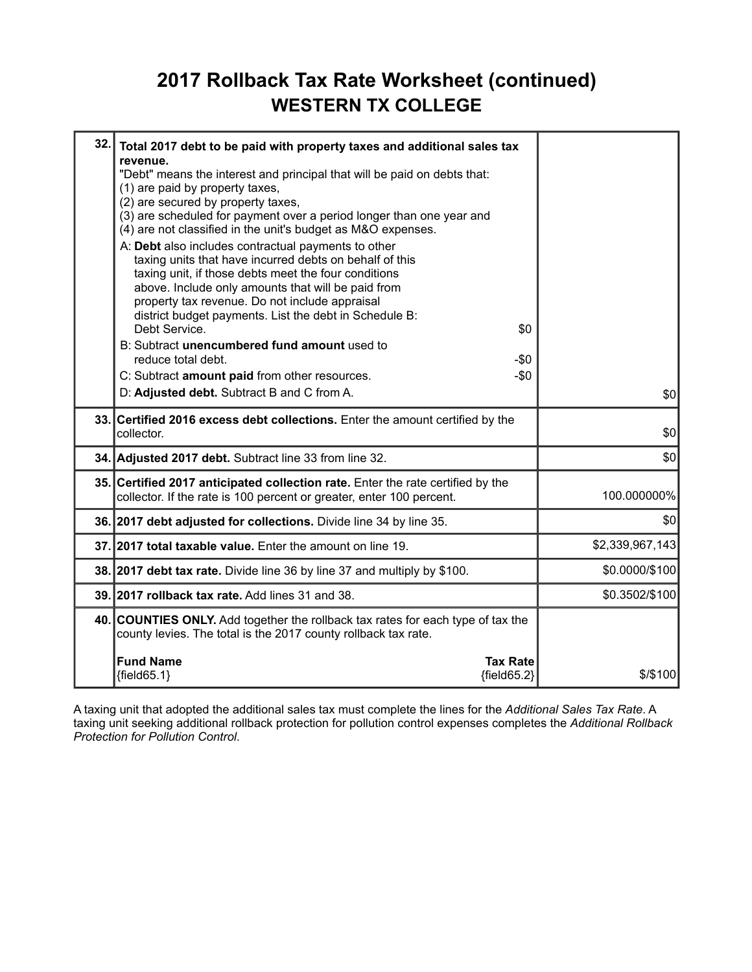### **2017 Rollback Tax Rate Worksheet (continued) WESTERN TX COLLEGE**

| 32. | Total 2017 debt to be paid with property taxes and additional sales tax<br>revenue.<br>"Debt" means the interest and principal that will be paid on debts that:<br>(1) are paid by property taxes,<br>(2) are secured by property taxes,<br>(3) are scheduled for payment over a period longer than one year and<br>(4) are not classified in the unit's budget as M&O expenses.<br>A: Debt also includes contractual payments to other<br>taxing units that have incurred debts on behalf of this<br>taxing unit, if those debts meet the four conditions<br>above. Include only amounts that will be paid from<br>property tax revenue. Do not include appraisal<br>district budget payments. List the debt in Schedule B:<br>Debt Service.<br>\$0<br>B: Subtract unencumbered fund amount used to<br>reduce total debt.<br>$-\$0$<br>C: Subtract amount paid from other resources.<br>$-\$0$<br>D: Adjusted debt. Subtract B and C from A. |                 |
|-----|-----------------------------------------------------------------------------------------------------------------------------------------------------------------------------------------------------------------------------------------------------------------------------------------------------------------------------------------------------------------------------------------------------------------------------------------------------------------------------------------------------------------------------------------------------------------------------------------------------------------------------------------------------------------------------------------------------------------------------------------------------------------------------------------------------------------------------------------------------------------------------------------------------------------------------------------------|-----------------|
|     |                                                                                                                                                                                                                                                                                                                                                                                                                                                                                                                                                                                                                                                                                                                                                                                                                                                                                                                                               | \$0             |
|     | 33. Certified 2016 excess debt collections. Enter the amount certified by the<br>collector.                                                                                                                                                                                                                                                                                                                                                                                                                                                                                                                                                                                                                                                                                                                                                                                                                                                   | \$0             |
|     | 34. Adjusted 2017 debt. Subtract line 33 from line 32.                                                                                                                                                                                                                                                                                                                                                                                                                                                                                                                                                                                                                                                                                                                                                                                                                                                                                        | \$0             |
|     | 35. Certified 2017 anticipated collection rate. Enter the rate certified by the<br>collector. If the rate is 100 percent or greater, enter 100 percent.                                                                                                                                                                                                                                                                                                                                                                                                                                                                                                                                                                                                                                                                                                                                                                                       | 100.000000%     |
|     | 36. 2017 debt adjusted for collections. Divide line 34 by line 35.                                                                                                                                                                                                                                                                                                                                                                                                                                                                                                                                                                                                                                                                                                                                                                                                                                                                            | \$0             |
|     | 37. 2017 total taxable value. Enter the amount on line 19.                                                                                                                                                                                                                                                                                                                                                                                                                                                                                                                                                                                                                                                                                                                                                                                                                                                                                    | \$2,339,967,143 |
|     | 38. 2017 debt tax rate. Divide line 36 by line 37 and multiply by \$100.                                                                                                                                                                                                                                                                                                                                                                                                                                                                                                                                                                                                                                                                                                                                                                                                                                                                      | \$0.0000/\$100  |
|     | 39. 2017 rollback tax rate. Add lines 31 and 38.                                                                                                                                                                                                                                                                                                                                                                                                                                                                                                                                                                                                                                                                                                                                                                                                                                                                                              | \$0.3502/\$100  |
|     | 40. COUNTIES ONLY. Add together the rollback tax rates for each type of tax the<br>county levies. The total is the 2017 county rollback tax rate.<br><b>Fund Name</b>                                                                                                                                                                                                                                                                                                                                                                                                                                                                                                                                                                                                                                                                                                                                                                         |                 |
|     | <b>Tax Rate</b><br>${field65.1}$<br>${field65.2}$                                                                                                                                                                                                                                                                                                                                                                                                                                                                                                                                                                                                                                                                                                                                                                                                                                                                                             | $$$ /\$100      |

A taxing unit that adopted the additional sales tax must complete the lines for the *Additional Sales Tax Rate*. A taxing unit seeking additional rollback protection for pollution control expenses completes the *Additional Rollback Protection for Pollution Control*.